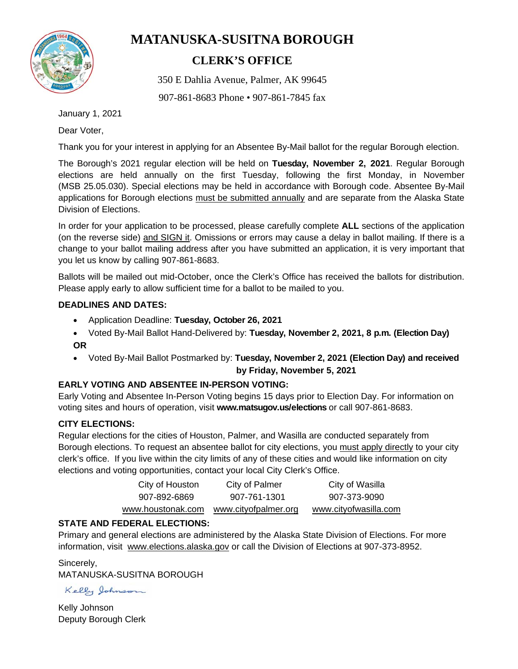

# **MATANUSKA-SUSITNA BOROUGH**

## **CLERK'S OFFICE**

350 E Dahlia Avenue, Palmer, AK 99645

907-861-8683 Phone • 907-861-7845 fax

January 1, 2021

Dear Voter,

Thank you for your interest in applying for an Absentee By-Mail ballot for the regular Borough election.

The Borough's 2021 regular election will be held on **Tuesday, November 2, 2021**. Regular Borough elections are held annually on the first Tuesday, following the first Monday, in November (MSB 25.05.030). Special elections may be held in accordance with Borough code. Absentee By-Mail applications for Borough elections must be submitted annually and are separate from the Alaska State Division of Elections.

In order for your application to be processed, please carefully complete **ALL** sections of the application (on the reverse side) and SIGN it. Omissions or errors may cause a delay in ballot mailing. If there is a change to your ballot mailing address after you have submitted an application, it is very important that you let us know by calling 907-861-8683.

Ballots will be mailed out mid-October, once the Clerk's Office has received the ballots for distribution. Please apply early to allow sufficient time for a ballot to be mailed to you.

#### **DEADLINES AND DATES:**

- Application Deadline: **Tuesday, October 26, 2021**
- Voted By-Mail Ballot Hand-Delivered by: **Tuesday, November 2, 2021, 8 p.m. (Election Day) OR**
- Voted By-Mail Ballot Postmarked by: **Tuesday, November 2, 2021 (Election Day) and received by Friday, November 5, 2021**

### **EARLY VOTING AND ABSENTEE IN-PERSON VOTING:**

Early Voting and Absentee In-Person Voting begins 15 days prior to Election Day. For information on voting sites and hours of operation, visit **www.matsugov.us/elections** or call 907-861-8683.

### **CITY ELECTIONS:**

Regular elections for the cities of Houston, Palmer, and Wasilla are conducted separately from Borough elections. To request an absentee ballot for city elections, you must apply directly to your city clerk's office. If you live within the city limits of any of these cities and would like information on city elections and voting opportunities, contact your local City Clerk's Office.

| City of Houston    | City of Palmer       | City of Wasilla       |
|--------------------|----------------------|-----------------------|
| 907-892-6869       | 907-761-1301         | 907-373-9090          |
| www.houstonak.com_ | www.cityofpalmer.org | www.cityofwasilla.com |

### **STATE AND FEDERAL ELECTIONS:**

Primary and general elections are administered by the Alaska State Division of Elections. For more information, visit www.elections.alaska.gov or call the Division of Elections at 907-373-8952.

Sincerely, MATANUSKA-SUSITNA BOROUGH

Kelly Johnson

Kelly Johnson Deputy Borough Clerk